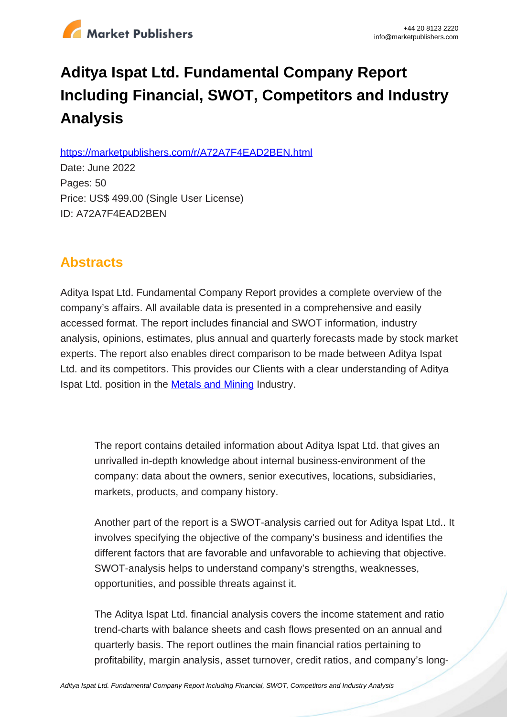

# **Aditya Ispat Ltd. Fundamental Company Report Including Financial, SWOT, Competitors and Industry Analysis**

https://marketpublishers.com/r/A72A7F4EAD2BEN.html

Date: June 2022 Pages: 50 Price: US\$ 499.00 (Single User License) ID: A72A7F4EAD2BEN

# **Abstracts**

Aditya Ispat Ltd. Fundamental Company Report provides a complete overview of the company's affairs. All available data is presented in a comprehensive and easily accessed format. The report includes financial and SWOT information, industry analysis, opinions, estimates, plus annual and quarterly forecasts made by stock market experts. The report also enables direct comparison to be made between Aditya Ispat Ltd. and its competitors. This provides our Clients with a clear understanding of Aditya Ispat Ltd. position in the **[Metals and Mining](/report/india_metals_mining_analysis_bac.html) Industry.** 

The report contains detailed information about Aditya Ispat Ltd. that gives an unrivalled in-depth knowledge about internal business-environment of the company: data about the owners, senior executives, locations, subsidiaries, markets, products, and company history.

Another part of the report is a SWOT-analysis carried out for Aditya Ispat Ltd.. It involves specifying the objective of the company's business and identifies the different factors that are favorable and unfavorable to achieving that objective. SWOT-analysis helps to understand company's strengths, weaknesses, opportunities, and possible threats against it.

The Aditya Ispat Ltd. financial analysis covers the income statement and ratio trend-charts with balance sheets and cash flows presented on an annual and quarterly basis. The report outlines the main financial ratios pertaining to profitability, margin analysis, asset turnover, credit ratios, and company's long-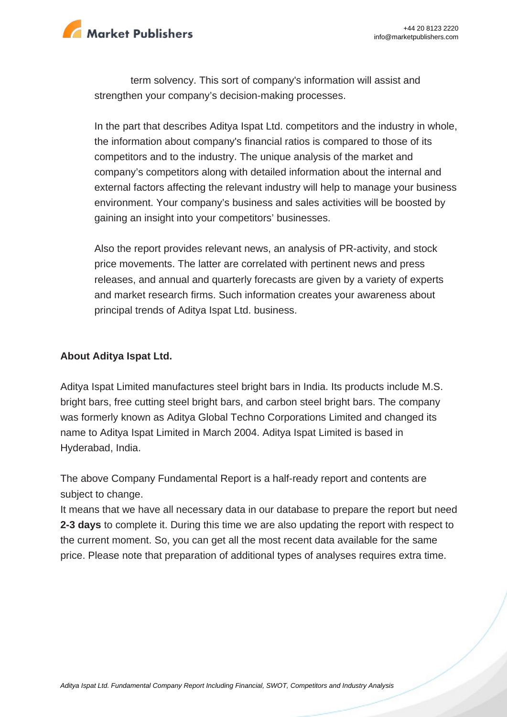

term solvency. This sort of company's information will assist and strengthen your company's decision-making processes.

In the part that describes Aditya Ispat Ltd. competitors and the industry in whole, the information about company's financial ratios is compared to those of its competitors and to the industry. The unique analysis of the market and company's competitors along with detailed information about the internal and external factors affecting the relevant industry will help to manage your business environment. Your company's business and sales activities will be boosted by gaining an insight into your competitors' businesses.

Also the report provides relevant news, an analysis of PR-activity, and stock price movements. The latter are correlated with pertinent news and press releases, and annual and quarterly forecasts are given by a variety of experts and market research firms. Such information creates your awareness about principal trends of Aditya Ispat Ltd. business.

#### **About Aditya Ispat Ltd.**

Aditya Ispat Limited manufactures steel bright bars in India. Its products include M.S. bright bars, free cutting steel bright bars, and carbon steel bright bars. The company was formerly known as Aditya Global Techno Corporations Limited and changed its name to Aditya Ispat Limited in March 2004. Aditya Ispat Limited is based in Hyderabad, India.

The above Company Fundamental Report is a half-ready report and contents are subject to change.

It means that we have all necessary data in our database to prepare the report but need **2-3 days** to complete it. During this time we are also updating the report with respect to the current moment. So, you can get all the most recent data available for the same price. Please note that preparation of additional types of analyses requires extra time.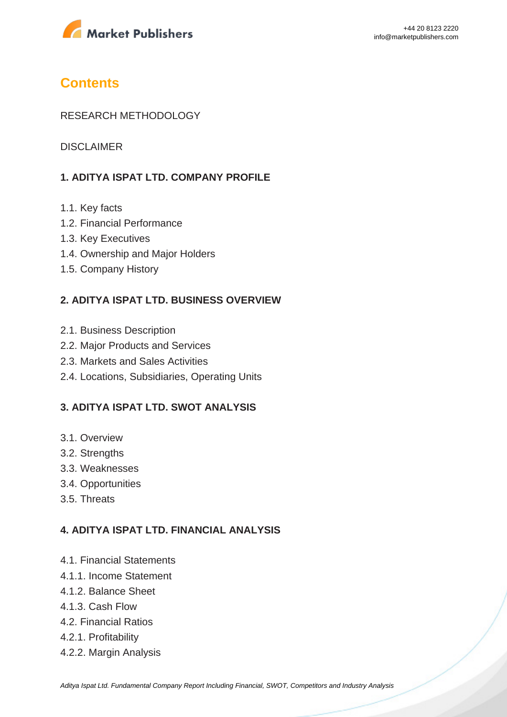

# **Contents**

#### RESEARCH METHODOLOGY

DISCI AIMER

#### **1. ADITYA ISPAT LTD. COMPANY PROFILE**

- 1.1. Key facts
- 1.2. Financial Performance
- 1.3. Key Executives
- 1.4. Ownership and Major Holders
- 1.5. Company History

#### **2. ADITYA ISPAT LTD. BUSINESS OVERVIEW**

- 2.1. Business Description
- 2.2. Major Products and Services
- 2.3. Markets and Sales Activities
- 2.4. Locations, Subsidiaries, Operating Units

#### **3. ADITYA ISPAT LTD. SWOT ANALYSIS**

- 3.1. Overview
- 3.2. Strengths
- 3.3. Weaknesses
- 3.4. Opportunities
- 3.5. Threats

#### **4. ADITYA ISPAT LTD. FINANCIAL ANALYSIS**

- 4.1. Financial Statements
- 4.1.1. Income Statement
- 4.1.2. Balance Sheet
- 4.1.3. Cash Flow
- 4.2. Financial Ratios
- 4.2.1. Profitability
- 4.2.2. Margin Analysis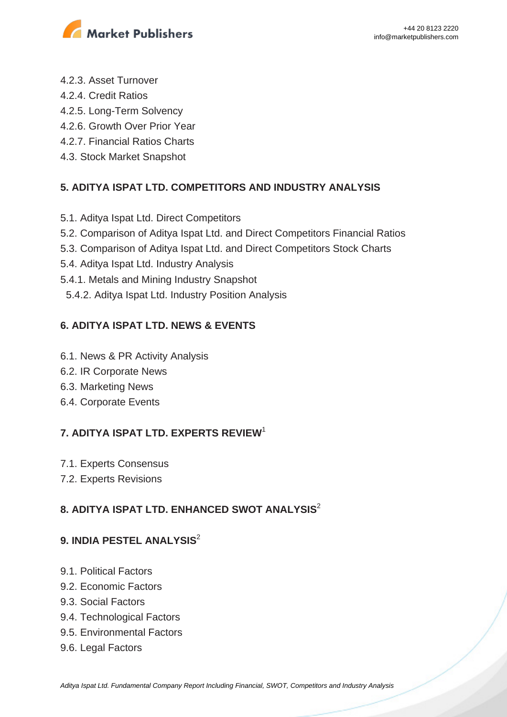

- 4.2.3. Asset Turnover
- 4.2.4. Credit Ratios
- 4.2.5. Long-Term Solvency
- 4.2.6. Growth Over Prior Year
- 4.2.7. Financial Ratios Charts
- 4.3. Stock Market Snapshot

# **5. ADITYA ISPAT LTD. COMPETITORS AND INDUSTRY ANALYSIS**

- 5.1. Aditya Ispat Ltd. Direct Competitors
- 5.2. Comparison of Aditya Ispat Ltd. and Direct Competitors Financial Ratios
- 5.3. Comparison of Aditya Ispat Ltd. and Direct Competitors Stock Charts
- 5.4. Aditya Ispat Ltd. Industry Analysis
- 5.4.1. Metals and Mining Industry Snapshot
- 5.4.2. Aditya Ispat Ltd. Industry Position Analysis

## **6. ADITYA ISPAT LTD. NEWS & EVENTS**

- 6.1. News & PR Activity Analysis
- 6.2. IR Corporate News
- 6.3. Marketing News
- 6.4. Corporate Events

# **7. ADITYA ISPAT LTD. EXPERTS REVIEW**<sup>1</sup>

- 7.1. Experts Consensus
- 7.2. Experts Revisions

# **8. ADITYA ISPAT LTD. ENHANCED SWOT ANALYSIS**<sup>2</sup>

## **9. INDIA PESTEL ANALYSIS**<sup>2</sup>

- 9.1. Political Factors
- 9.2. Economic Factors
- 9.3. Social Factors
- 9.4. Technological Factors
- 9.5. Environmental Factors
- 9.6. Legal Factors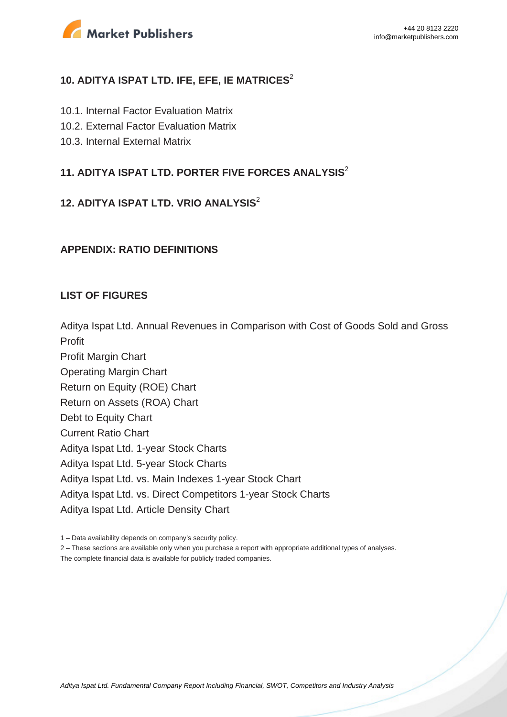

#### **10. ADITYA ISPAT LTD. IFE, EFE, IE MATRICES**<sup>2</sup>

- 10.1. Internal Factor Evaluation Matrix
- 10.2. External Factor Evaluation Matrix
- 10.3. Internal External Matrix

## **11. ADITYA ISPAT LTD. PORTER FIVE FORCES ANALYSIS**<sup>2</sup>

#### **12. ADITYA ISPAT LTD. VRIO ANALYSIS**<sup>2</sup>

#### **APPENDIX: RATIO DEFINITIONS**

#### **LIST OF FIGURES**

Aditya Ispat Ltd. Annual Revenues in Comparison with Cost of Goods Sold and Gross

Profit Profit Margin Chart Operating Margin Chart Return on Equity (ROE) Chart Return on Assets (ROA) Chart Debt to Equity Chart Current Ratio Chart Aditya Ispat Ltd. 1-year Stock Charts Aditya Ispat Ltd. 5-year Stock Charts Aditya Ispat Ltd. vs. Main Indexes 1-year Stock Chart Aditya Ispat Ltd. vs. Direct Competitors 1-year Stock Charts Aditya Ispat Ltd. Article Density Chart

2 – These sections are available only when you purchase a report with appropriate additional types of analyses.

The complete financial data is available for publicly traded companies.

<sup>1 –</sup> Data availability depends on company's security policy.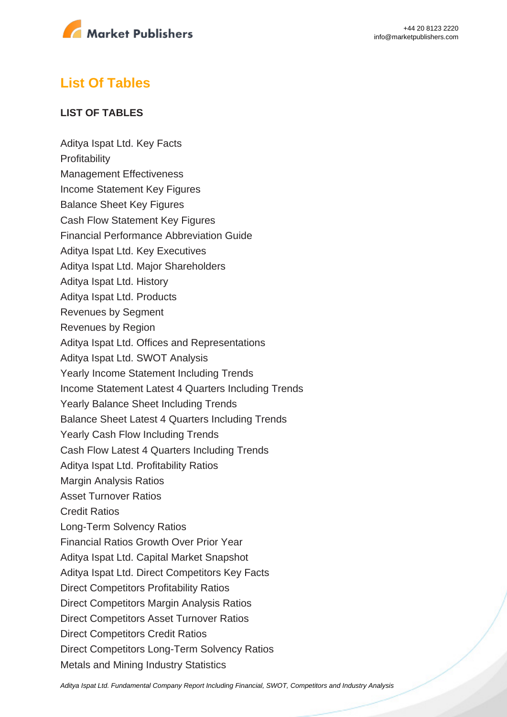

# **List Of Tables**

#### **LIST OF TABLES**

Aditya Ispat Ltd. Key Facts **Profitability** Management Effectiveness Income Statement Key Figures Balance Sheet Key Figures Cash Flow Statement Key Figures Financial Performance Abbreviation Guide Aditya Ispat Ltd. Key Executives Aditya Ispat Ltd. Major Shareholders Aditya Ispat Ltd. History Aditya Ispat Ltd. Products Revenues by Segment Revenues by Region Aditya Ispat Ltd. Offices and Representations Aditya Ispat Ltd. SWOT Analysis Yearly Income Statement Including Trends Income Statement Latest 4 Quarters Including Trends Yearly Balance Sheet Including Trends Balance Sheet Latest 4 Quarters Including Trends Yearly Cash Flow Including Trends Cash Flow Latest 4 Quarters Including Trends Aditya Ispat Ltd. Profitability Ratios Margin Analysis Ratios Asset Turnover Ratios Credit Ratios Long-Term Solvency Ratios Financial Ratios Growth Over Prior Year Aditya Ispat Ltd. Capital Market Snapshot Aditya Ispat Ltd. Direct Competitors Key Facts Direct Competitors Profitability Ratios Direct Competitors Margin Analysis Ratios Direct Competitors Asset Turnover Ratios Direct Competitors Credit Ratios Direct Competitors Long-Term Solvency Ratios Metals and Mining Industry Statistics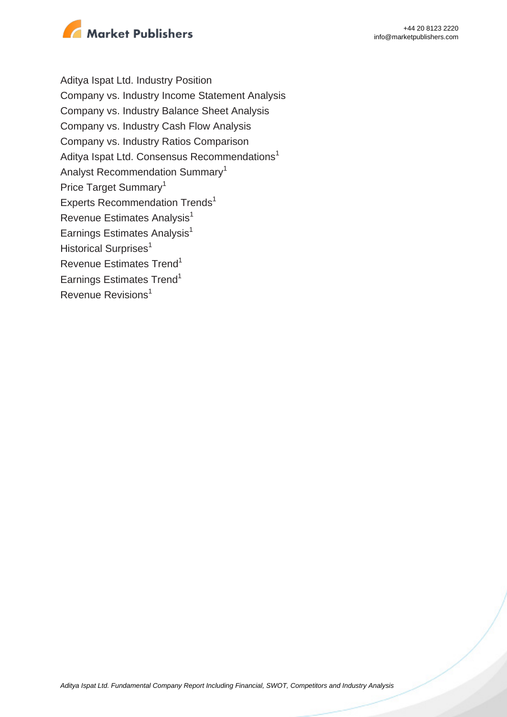

Aditya Ispat Ltd. Industry Position Company vs. Industry Income Statement Analysis Company vs. Industry Balance Sheet Analysis Company vs. Industry Cash Flow Analysis Company vs. Industry Ratios Comparison Aditya Ispat Ltd. Consensus Recommendations<sup>1</sup> Analyst Recommendation Summary<sup>1</sup> Price Target Summary<sup>1</sup> Experts Recommendation Trends<sup>1</sup> Revenue Estimates Analysis<sup>1</sup> Earnings Estimates Analysis $<sup>1</sup>$ </sup> Historical Surprises<sup>1</sup> Revenue Estimates Trend<sup>1</sup> Earnings Estimates Trend<sup>1</sup> Revenue Revisions<sup>1</sup>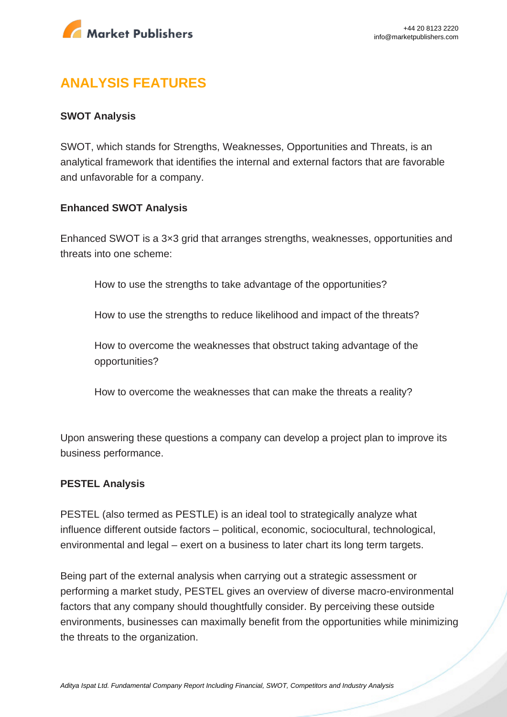

# **ANALYSIS FEATURES**

#### **SWOT Analysis**

SWOT, which stands for Strengths, Weaknesses, Opportunities and Threats, is an analytical framework that identifies the internal and external factors that are favorable and unfavorable for a company.

#### **Enhanced SWOT Analysis**

Enhanced SWOT is a 3×3 grid that arranges strengths, weaknesses, opportunities and threats into one scheme:

How to use the strengths to take advantage of the opportunities?

How to use the strengths to reduce likelihood and impact of the threats?

How to overcome the weaknesses that obstruct taking advantage of the opportunities?

How to overcome the weaknesses that can make the threats a reality?

Upon answering these questions a company can develop a project plan to improve its business performance.

#### **PESTEL Analysis**

PESTEL (also termed as PESTLE) is an ideal tool to strategically analyze what influence different outside factors – political, economic, sociocultural, technological, environmental and legal – exert on a business to later chart its long term targets.

Being part of the external analysis when carrying out a strategic assessment or performing a market study, PESTEL gives an overview of diverse macro-environmental factors that any company should thoughtfully consider. By perceiving these outside environments, businesses can maximally benefit from the opportunities while minimizing the threats to the organization.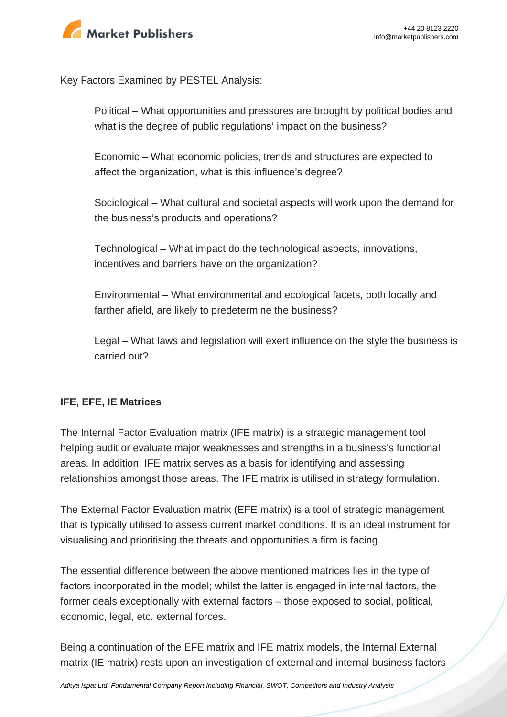

Key Factors Examined by PESTEL Analysis:

Political – What opportunities and pressures are brought by political bodies and what is the degree of public regulations' impact on the business?

Economic – What economic policies, trends and structures are expected to affect the organization, what is this influence's degree?

Sociological – What cultural and societal aspects will work upon the demand for the business's products and operations?

Technological – What impact do the technological aspects, innovations, incentives and barriers have on the organization?

Environmental – What environmental and ecological facets, both locally and farther afield, are likely to predetermine the business?

Legal – What laws and legislation will exert influence on the style the business is carried out?

#### **IFE, EFE, IE Matrices**

The Internal Factor Evaluation matrix (IFE matrix) is a strategic management tool helping audit or evaluate major weaknesses and strengths in a business's functional areas. In addition, IFE matrix serves as a basis for identifying and assessing relationships amongst those areas. The IFE matrix is utilised in strategy formulation.

The External Factor Evaluation matrix (EFE matrix) is a tool of strategic management that is typically utilised to assess current market conditions. It is an ideal instrument for visualising and prioritising the threats and opportunities a firm is facing.

The essential difference between the above mentioned matrices lies in the type of factors incorporated in the model; whilst the latter is engaged in internal factors, the former deals exceptionally with external factors – those exposed to social, political, economic, legal, etc. external forces.

Being a continuation of the EFE matrix and IFE matrix models, the Internal External matrix (IE matrix) rests upon an investigation of external and internal business factors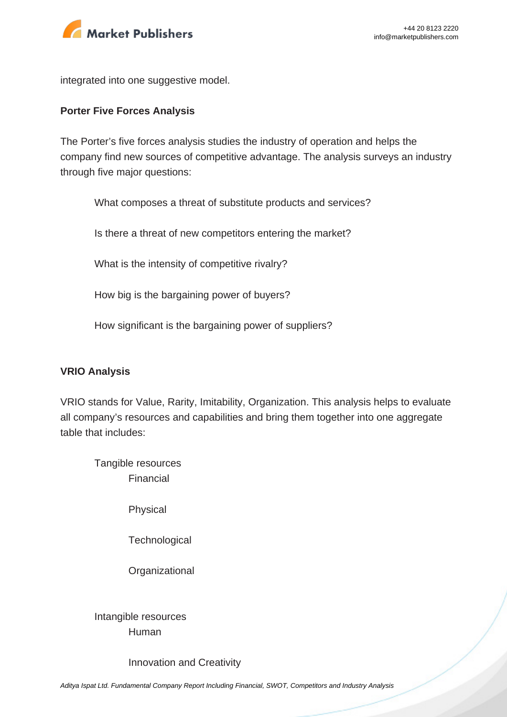

integrated into one suggestive model.

#### **Porter Five Forces Analysis**

The Porter's five forces analysis studies the industry of operation and helps the company find new sources of competitive advantage. The analysis surveys an industry through five major questions:

What composes a threat of substitute products and services?

Is there a threat of new competitors entering the market?

What is the intensity of competitive rivalry?

How big is the bargaining power of buyers?

How significant is the bargaining power of suppliers?

#### **VRIO Analysis**

VRIO stands for Value, Rarity, Imitability, Organization. This analysis helps to evaluate all company's resources and capabilities and bring them together into one aggregate table that includes:

Tangible resources Financial

Physical

**Technological** 

**Organizational** 

Intangible resources Human

Innovation and Creativity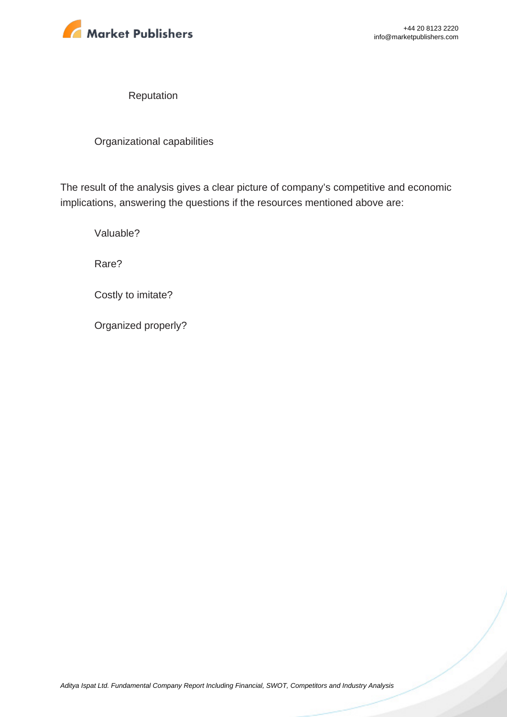

Reputation

Organizational capabilities

The result of the analysis gives a clear picture of company's competitive and economic implications, answering the questions if the resources mentioned above are:

Valuable?

Rare?

Costly to imitate?

Organized properly?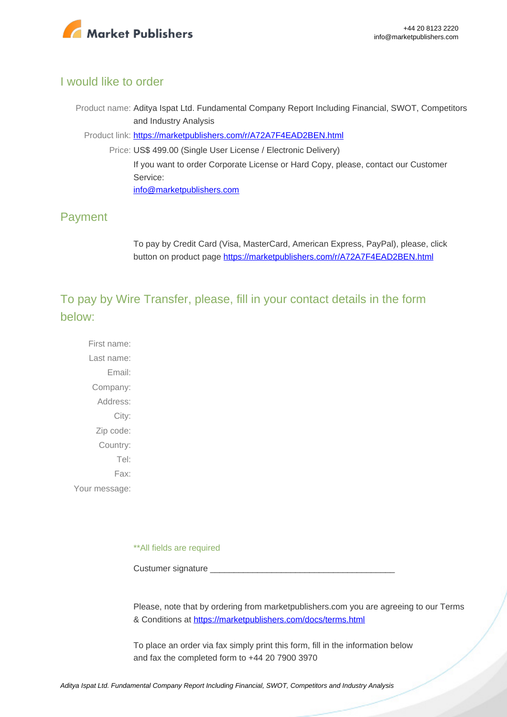

### I would like to order

Product name: Aditya Ispat Ltd. Fundamental Company Report Including Financial, SWOT, Competitors and Industry Analysis

Product link: [https://marketpublishers.com/r/A72A7F4EAD2BEN.html](https://marketpublishers.com/report/industry/metallurgy/aditya_ispat_ltd_swot_analysis_bac.html)

Price: US\$ 499.00 (Single User License / Electronic Delivery) If you want to order Corporate License or Hard Copy, please, contact our Customer Service: [info@marketpublishers.com](mailto:info@marketpublishers.com)

## Payment

To pay by Credit Card (Visa, MasterCard, American Express, PayPal), please, click button on product page [https://marketpublishers.com/r/A72A7F4EAD2BEN.html](https://marketpublishers.com/report/industry/metallurgy/aditya_ispat_ltd_swot_analysis_bac.html)

To pay by Wire Transfer, please, fill in your contact details in the form below:

First name: Last name: Email: Company: Address: City: Zip code: Country: Tel: Fax: Your message:

\*\*All fields are required

Custumer signature

Please, note that by ordering from marketpublishers.com you are agreeing to our Terms & Conditions at<https://marketpublishers.com/docs/terms.html>

To place an order via fax simply print this form, fill in the information below and fax the completed form to +44 20 7900 3970